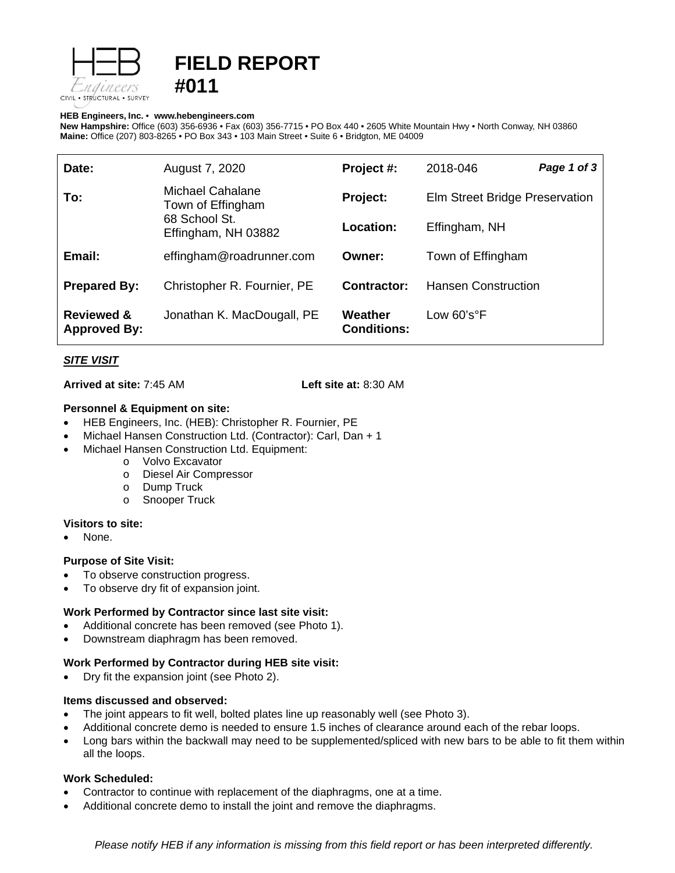

# **FIELD REPORT #011**

#### **HEB Engineers, Inc.** • **[www.hebengineer](http://www.hebengineers.com/)s.com**

**New Hampshire:** Office (603) 356-6936 • Fax (603) 356-7715 • PO Box 440 • 2605 White Mountain Hwy • North Conway, NH 03860 **Maine:** Office (207) 803-8265 • PO Box 343 • 103 Main Street • Suite 6 • Bridgton, ME 04009

| Date:                                        | August 7, 2020                                                                | Project #:                    | 2018-046                       | Page 1 of 3 |
|----------------------------------------------|-------------------------------------------------------------------------------|-------------------------------|--------------------------------|-------------|
| To:                                          | Michael Cahalane<br>Town of Effingham<br>68 School St.<br>Effingham, NH 03882 | Project:                      | Elm Street Bridge Preservation |             |
|                                              |                                                                               | Location:                     | Effingham, NH                  |             |
| Email:                                       | effingham@roadrunner.com                                                      | Owner:                        | Town of Effingham              |             |
| <b>Prepared By:</b>                          | Christopher R. Fournier, PE                                                   | Contractor:                   | <b>Hansen Construction</b>     |             |
| <b>Reviewed &amp;</b><br><b>Approved By:</b> | Jonathan K. MacDougall, PE                                                    | Weather<br><b>Conditions:</b> | Low $60's°F$                   |             |

# *SITE VISIT*

**Arrived at site:** 7:45 AM **Left site at:** 8:30 AM

#### **Personnel & Equipment on site:**

- HEB Engineers, Inc. (HEB): Christopher R. Fournier, PE
- Michael Hansen Construction Ltd. (Contractor): Carl, Dan + 1
- Michael Hansen Construction Ltd. Equipment:
	- o Volvo Excavator
	- o Diesel Air Compressor
	- o Dump Truck
	- o Snooper Truck

#### **Visitors to site:**

None.

# **Purpose of Site Visit:**

- To observe construction progress.
- To observe dry fit of expansion joint.

# **Work Performed by Contractor since last site visit:**

- Additional concrete has been removed (see Photo 1).
- Downstream diaphragm has been removed.

# **Work Performed by Contractor during HEB site visit:**

• Dry fit the expansion joint (see Photo 2).

# **Items discussed and observed:**

- The joint appears to fit well, bolted plates line up reasonably well (see Photo 3).
- Additional concrete demo is needed to ensure 1.5 inches of clearance around each of the rebar loops.
- Long bars within the backwall may need to be supplemented/spliced with new bars to be able to fit them within all the loops.

# **Work Scheduled:**

- Contractor to continue with replacement of the diaphragms, one at a time.
- Additional concrete demo to install the joint and remove the diaphragms.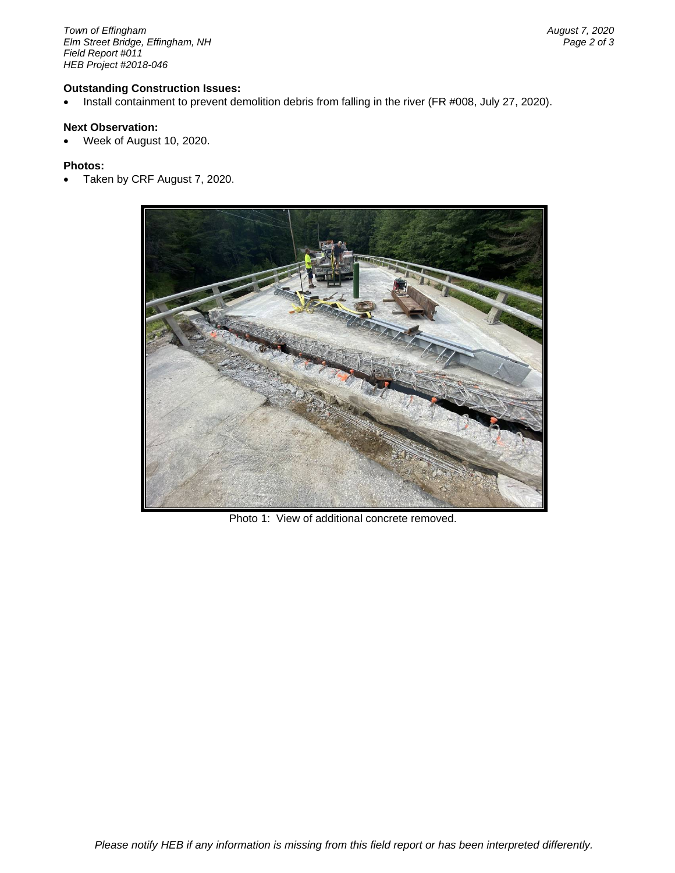*Town of Effingham August 7, 2020 <i>Elm Street Bridge, Effingham, NH Field Report #011 HEB Project #2018-046*

#### **Outstanding Construction Issues:**

• Install containment to prevent demolition debris from falling in the river (FR #008, July 27, 2020).

# **Next Observation:**

• Week of August 10, 2020.

#### **Photos:**

• Taken by CRF August 7, 2020.



Photo 1: View of additional concrete removed.